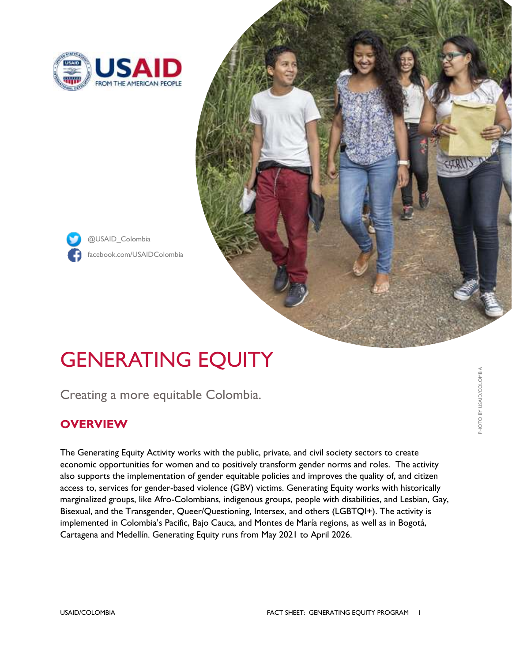

@USAID\_Colombia



# GENERATING EQUITY

Creating a more equitable Colombia.

## **OVERVIEW**

The Generating Equity Activity works with the public, private, and civil society sectors to create economic opportunities for women and to positively transform gender norms and roles. The activity also supports the implementation of gender equitable policies and improves the quality of, and citizen access to, services for gender-based violence (GBV) victims. Generating Equity works with historically marginalized groups, like Afro-Colombians, indigenous groups, people with disabilities, and Lesbian, Gay, Bisexual, and the Transgender, Queer/Questioning, Intersex, and others (LGBTQI+). The activity is implemented in Colombia's Pacific, Bajo Cauca, and Montes de María regions, as well as in Bogotá, Cartagena and Medellín. Generating Equity runs from May 2021 to April 2026.